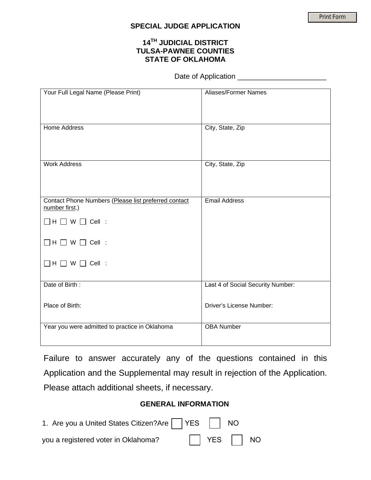## **SPECIAL JUDGE APPLICATION**

## **14TH JUDICIAL DISTRICT TULSA-PAWNEE COUNTIES STATE OF OKLAHOMA**

Date of Application \_\_\_\_\_\_\_\_\_\_\_\_\_\_\_\_\_\_\_\_\_\_

| Your Full Legal Name (Please Print)                                    | <b>Aliases/Former Names</b>       |
|------------------------------------------------------------------------|-----------------------------------|
| <b>Home Address</b>                                                    | City, State, Zip                  |
| <b>Work Address</b>                                                    | City, State, Zip                  |
| Contact Phone Numbers (Please list preferred contact<br>number first.) | <b>Email Address</b>              |
| $\Box$ H $\Box$ W $\Box$ Cell :                                        |                                   |
| $\Box H$ $\Box$ W $\Box$ Cell :                                        |                                   |
| $\Box H$ $\Box$ W $\Box$ Cell :                                        |                                   |
| Date of Birth:                                                         | Last 4 of Social Security Number: |
| Place of Birth:                                                        | <b>Driver's License Number:</b>   |
| Year you were admitted to practice in Oklahoma                         | <b>OBA Number</b>                 |

Failure to answer accurately any of the questions contained in this Application and the Supplemental may result in rejection of the Application. Please attach additional sheets, if necessary.

## **GENERAL INFORMATION**

| 1. Are you a United States Citizen?Are   YES   NO |                      |  |
|---------------------------------------------------|----------------------|--|
| you a registered voter in Oklahoma?               | $\Box$ YES $\Box$ NO |  |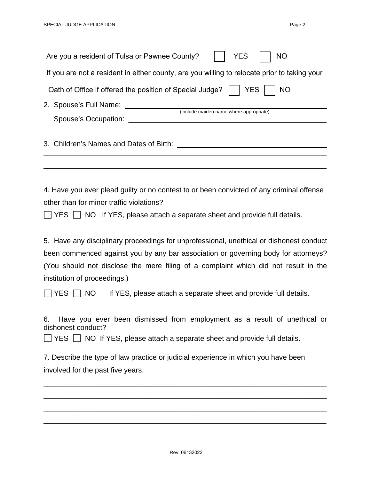| Are you a resident of Tulsa or Pawnee County?<br><b>YES</b><br><b>NO</b>                                                                                                                                                                                                                                                                             |  |  |  |  |  |
|------------------------------------------------------------------------------------------------------------------------------------------------------------------------------------------------------------------------------------------------------------------------------------------------------------------------------------------------------|--|--|--|--|--|
| If you are not a resident in either county, are you willing to relocate prior to taking your                                                                                                                                                                                                                                                         |  |  |  |  |  |
| Oath of Office if offered the position of Special Judge?<br><b>YES</b><br><b>NO</b>                                                                                                                                                                                                                                                                  |  |  |  |  |  |
| 2. Spouse's Full Name: 2. Spouse's Full Name:<br>(include maiden name where appropriate)                                                                                                                                                                                                                                                             |  |  |  |  |  |
|                                                                                                                                                                                                                                                                                                                                                      |  |  |  |  |  |
|                                                                                                                                                                                                                                                                                                                                                      |  |  |  |  |  |
| 4. Have you ever plead guilty or no contest to or been convicted of any criminal offense<br>other than for minor traffic violations?<br>YES   NO If YES, please attach a separate sheet and provide full details.                                                                                                                                    |  |  |  |  |  |
| 5. Have any disciplinary proceedings for unprofessional, unethical or dishonest conduct<br>been commenced against you by any bar association or governing body for attorneys?<br>(You should not disclose the mere filing of a complaint which did not result in the<br>institution of proceedings.)                                                 |  |  |  |  |  |
| If YES, please attach a separate sheet and provide full details.<br>YES     NO<br>6. Have you ever been dismissed from employment as a result of unethical or<br>dishonest conduct?<br>YES NO If YES, please attach a separate sheet and provide full details.<br>7. Describe the type of law practice or judicial experience in which you have been |  |  |  |  |  |
| involved for the past five years.                                                                                                                                                                                                                                                                                                                    |  |  |  |  |  |

\_\_\_\_\_\_\_\_\_\_\_\_\_\_\_\_\_\_\_\_\_\_\_\_\_\_\_\_\_\_\_\_\_\_\_\_\_\_\_\_\_\_\_\_\_\_\_\_\_\_\_\_\_\_\_\_\_\_\_\_\_\_\_\_\_\_\_\_\_\_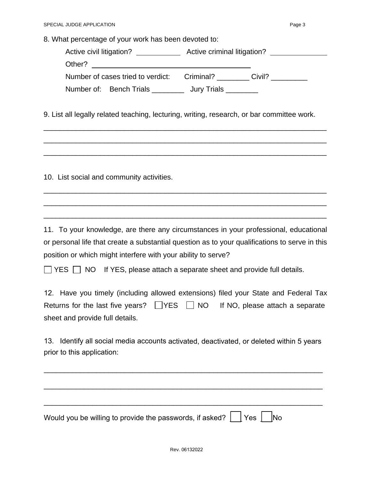8. What percentage of your work has been devoted to:

| Active civil litigation?          | Active criminal litigation? |
|-----------------------------------|-----------------------------|
| Other?                            |                             |
| Number of cases tried to verdict: | Criminal?<br>Civil?         |
| Number of: Bench Trials           | Jury Trials _____           |

9. List all legally related teaching, lecturing, writing, research, or bar committee work.

\_\_\_\_\_\_\_\_\_\_\_\_\_\_\_\_\_\_\_\_\_\_\_\_\_\_\_\_\_\_\_\_\_\_\_\_\_\_\_\_\_\_\_\_\_\_\_\_\_\_\_\_\_\_\_\_\_\_\_\_\_\_\_\_\_\_\_\_\_\_

\_\_\_\_\_\_\_\_\_\_\_\_\_\_\_\_\_\_\_\_\_\_\_\_\_\_\_\_\_\_\_\_\_\_\_\_\_\_\_\_\_\_\_\_\_\_\_\_\_\_\_\_\_\_\_\_\_\_\_\_\_\_\_\_\_\_\_\_\_\_

\_\_\_\_\_\_\_\_\_\_\_\_\_\_\_\_\_\_\_\_\_\_\_\_\_\_\_\_\_\_\_\_\_\_\_\_\_\_\_\_\_\_\_\_\_\_\_\_\_\_\_\_\_\_\_\_\_\_\_\_\_\_\_\_\_\_\_\_\_\_

\_\_\_\_\_\_\_\_\_\_\_\_\_\_\_\_\_\_\_\_\_\_\_\_\_\_\_\_\_\_\_\_\_\_\_\_\_\_\_\_\_\_\_\_\_\_\_\_\_\_\_\_\_\_\_\_\_\_\_\_\_\_\_\_\_\_\_\_\_\_

\_\_\_\_\_\_\_\_\_\_\_\_\_\_\_\_\_\_\_\_\_\_\_\_\_\_\_\_\_\_\_\_\_\_\_\_\_\_\_\_\_\_\_\_\_\_\_\_\_\_\_\_\_\_\_\_\_\_\_\_\_\_\_\_\_\_\_\_\_\_

\_\_\_\_\_\_\_\_\_\_\_\_\_\_\_\_\_\_\_\_\_\_\_\_\_\_\_\_\_\_\_\_\_\_\_\_\_\_\_\_\_\_\_\_\_\_\_\_\_\_\_\_\_\_\_\_\_\_\_\_\_\_\_\_\_\_\_\_\_\_

10. List social and community activities.

11. To your knowledge, are there any circumstances in your professional, educational or personal life that create a substantial question as to your qualifications to serve in this position or which might interfere with your ability to serve?

 $\Box$  YES  $\Box$  NO If YES, please attach a separate sheet and provide full details.

|                                 |  | 12. Have you timely (including allowed extensions) filed your State and Federal Tax   |  |  |
|---------------------------------|--|---------------------------------------------------------------------------------------|--|--|
|                                 |  | Returns for the last five years? $\Box$ YES $\Box$ NO If NO, please attach a separate |  |  |
| sheet and provide full details. |  |                                                                                       |  |  |

13. Identify all social media accounts activated, deactivated, or deleted within 5 years prior to this application:

\_\_\_\_\_\_\_\_\_\_\_\_\_\_\_\_\_\_\_\_\_\_\_\_\_\_\_\_\_\_\_\_\_\_\_\_\_\_\_\_\_\_\_\_\_\_\_\_\_\_\_\_\_\_\_\_\_\_\_\_\_\_\_\_\_\_\_\_\_

| Would you be willing to provide the passwords, if asked? $\vert \ \vert$ Yes $\vert \ \vert$ No |  |
|-------------------------------------------------------------------------------------------------|--|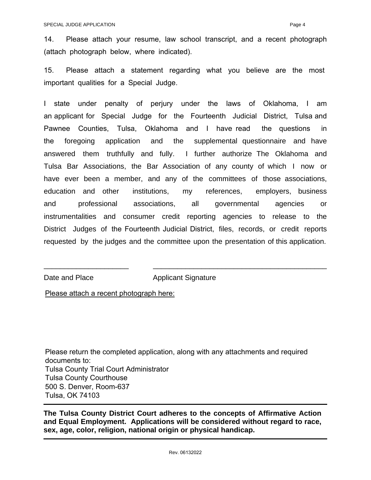14. Please attach your resume, law school transcript, and a recent photograph (attach photograph below, where indicated).

15. Please attach a statement regarding what you believe are the most important qualities for a Special Judge.

I state under penalty of perjury under the laws of Oklahoma, I am an applicant for Special Judge for the Fourteenth Judicial District, Tulsa and Pawnee Counties, Tulsa, Oklahoma and I have read the questions in the foregoing application and the supplemental questionnaire and have answered them truthfully and fully. I further authorize The Oklahoma and Tulsa Bar Associations, the Bar Association of any county of which I now or have ever been a member, and any of the committees of those associations, education and other institutions, my references, employers, business and professional associations, all governmental agencies or instrumentalities and consumer credit reporting agencies to release to the District Judges of the Fourteenth Judicial District, files, records, or credit reports requested by the judges and the committee upon the presentation of this application.

Date and Place Applicant Signature

\_\_\_\_\_\_\_\_\_\_\_\_\_\_\_\_\_\_\_\_\_ \_\_\_\_\_\_\_\_\_\_\_\_\_\_\_\_\_\_\_\_\_\_\_\_\_\_\_\_\_\_\_\_\_\_\_\_\_\_\_\_\_\_\_

Please attach a recent photograph here:

Please return the completed application, along with any attachments and required documents to: Tulsa County Trial Court Administrator Tulsa County Courthouse 500 S. Denver, Room-637 Tulsa, OK 74103

**The Tulsa County District Court adheres to the concepts of Affirmative Action and Equal Employment. Applications will be considered without regard to race, sex, age, color, religion, national origin or physical handicap.**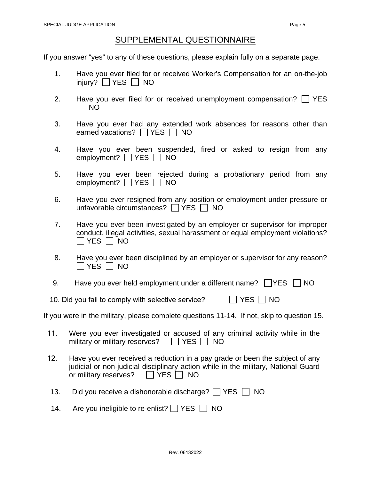## SUPPLEMENTAL QUESTIONNAIRE

If you answer "yes" to any of these questions, please explain fully on a separate page.

- 1. Have you ever filed for or received Worker's Compensation for an on-the-job injury?  $\Box$  YES  $\Box$  NO
- 2. Have you ever filed for or received unemployment compensation?  $\Box$  YES  $\Box$  NO
- 3. Have you ever had any extended work absences for reasons other than earned vacations?  $\Box$  YES  $\Box$  NO
- 4. Have you ever been suspended, fired or asked to resign from any employment?  $\Box$  YES  $\Box$  NO
- 5. Have you ever been rejected during a probationary period from any employment?  $\Box$  YES  $\Box$  NO
- 6. Have you ever resigned from any position or employment under pressure or unfavorable circumstances?  $\Box$  YES  $\Box$  NO
- 7. Have you ever been investigated by an employer or supervisor for improper conduct, illegal activities, sexual harassment or equal employment violations?  $\Box$  YES  $\Box$  NO
- 8. Have you ever been disciplined by an employer or supervisor for any reason?  $\Box$  YES  $\Box$  NO
- 9. Have you ever held employment under a different name?  $\Box$  YES  $\Box$  NO
- 10. Did you fail to comply with selective service? The SNS NO

If you were in the military, please complete questions 11-14. If not, skip to question 15.

- 11. Were you ever investigated or accused of any criminal activity while in the military or military reserves?  $\Box$  YES  $\Box$  NO
- 12. Have you ever received a reduction in a pay grade or been the subject of any judicial or non-judicial disciplinary action while in the military, National Guard or military reserves?  $\Box$  YES  $\Box$  NO
- 13. Did you receive a dishonorable discharge?  $\Box$  YES  $\Box$  NO
- 14. Are you ineligible to re-enlist?  $\Box$  YES  $\Box$  NO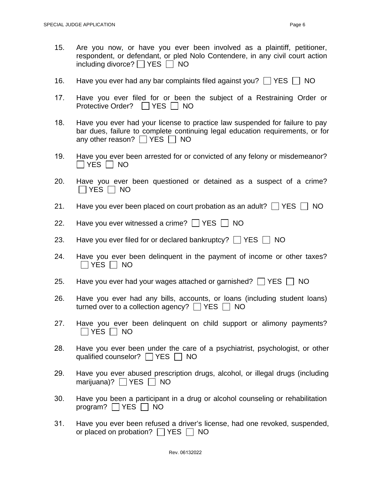- 15. Are you now, or have you ever been involved as a plaintiff, petitioner, respondent, or defendant, or pled Nolo Contendere, in any civil court action including divorce?  $\Box$  YES  $\Box$  NO
- 16. Have you ever had any bar complaints filed against you?  $\Box$  YES  $\Box$  NO
- 17. Have you ever filed for or been the subject of a Restraining Order or Protective Order? | | YES | | NO
- 18. Have you ever had your license to practice law suspended for failure to pay bar dues, failure to complete continuing legal education requirements, or for any other reason?  $\Box$  YES  $\Box$  NO
- 19. Have you ever been arrested for or convicted of any felony or misdemeanor?  $\Box$  YES  $\Box$  NO
- 20. Have you ever been questioned or detained as a suspect of a crime?  $\Box$  YES  $\Box$  NO
- 21. Have you ever been placed on court probation as an adult?  $\Box$  YES  $\Box$  NO
- 22. Have you ever witnessed a crime?  $\Box$  YES  $\Box$  NO
- 23. Have you ever filed for or declared bankruptcy?  $\Box$  YES  $\Box$  NO
- 24. Have you ever been delinquent in the payment of income or other taxes?  $\Box$  YES  $\Box$  NO
- 25. Have you ever had your wages attached or garnished?  $\Box$  YES  $\Box$  NO
- 26. Have you ever had any bills, accounts, or loans (including student loans) turned over to a collection agency?  $\Box$  YES  $\Box$  NO
- 27. Have you ever been delinquent on child support or alimony payments?  $\Box$  YES  $\Box$  NO
- 28. Have you ever been under the care of a psychiatrist, psychologist, or other qualified counselor?  $\Box$  YES  $\Box$  NO
- 29. Have you ever abused prescription drugs, alcohol, or illegal drugs (including marijuana)?  $|$   $|$  YES  $|$   $|$  NO
- 30. Have you been a participant in a drug or alcohol counseling or rehabilitation program?  $\Box$  YES  $\Box$  NO
- 31. Have you ever been refused a driver's license, had one revoked, suspended, or placed on probation?  $\Box$  YES  $\Box$  NO